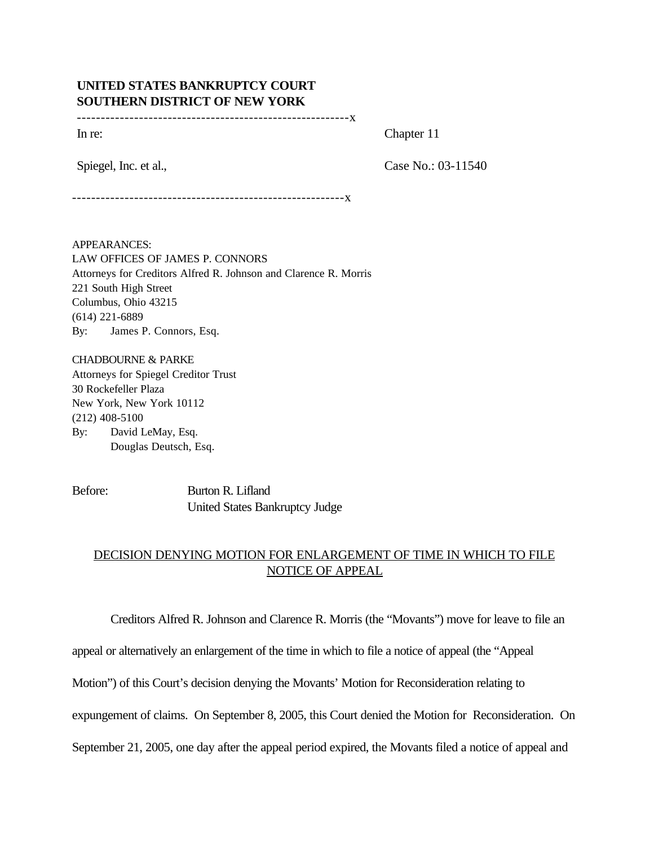## **UNITED STATES BANKRUPTCY COURT SOUTHERN DISTRICT OF NEW YORK**

---------------------------------------------------------x

In re: Chapter 11

Spiegel, Inc. et al., Case No.: 03-11540

---------------------------------------------------------x

APPEARANCES: LAW OFFICES OF JAMES P. CONNORS Attorneys for Creditors Alfred R. Johnson and Clarence R. Morris 221 South High Street Columbus, Ohio 43215 (614) 221-6889 By: James P. Connors, Esq.

CHADBOURNE & PARKE Attorneys for Spiegel Creditor Trust 30 Rockefeller Plaza New York, New York 10112 (212) 408-5100 By: David LeMay, Esq. Douglas Deutsch, Esq.

Before: Burton R. Lifland United States Bankruptcy Judge

## DECISION DENYING MOTION FOR ENLARGEMENT OF TIME IN WHICH TO FILE NOTICE OF APPEAL

Creditors Alfred R. Johnson and Clarence R. Morris (the "Movants") move for leave to file an

appeal or alternatively an enlargement of the time in which to file a notice of appeal (the "Appeal

Motion") of this Court's decision denying the Movants' Motion for Reconsideration relating to

expungement of claims. On September 8, 2005, this Court denied the Motion for Reconsideration. On

September 21, 2005, one day after the appeal period expired, the Movants filed a notice of appeal and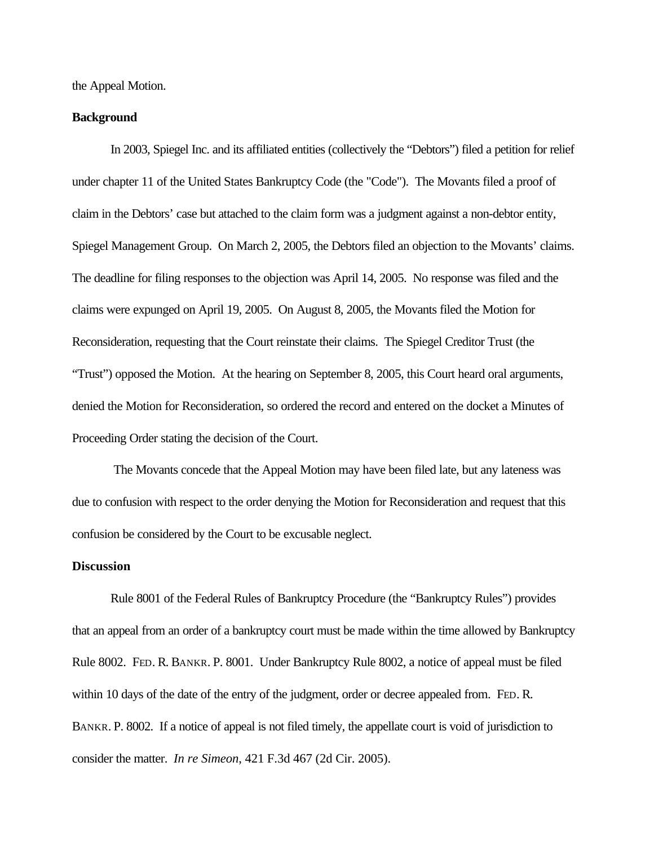the Appeal Motion.

## **Background**

In 2003, Spiegel Inc. and its affiliated entities (collectively the "Debtors") filed a petition for relief under chapter 11 of the United States Bankruptcy Code (the "Code"). The Movants filed a proof of claim in the Debtors' case but attached to the claim form was a judgment against a non-debtor entity, Spiegel Management Group. On March 2, 2005, the Debtors filed an objection to the Movants' claims. The deadline for filing responses to the objection was April 14, 2005. No response was filed and the claims were expunged on April 19, 2005. On August 8, 2005, the Movants filed the Motion for Reconsideration, requesting that the Court reinstate their claims. The Spiegel Creditor Trust (the "Trust") opposed the Motion. At the hearing on September 8, 2005, this Court heard oral arguments, denied the Motion for Reconsideration, so ordered the record and entered on the docket a Minutes of Proceeding Order stating the decision of the Court.

 The Movants concede that the Appeal Motion may have been filed late, but any lateness was due to confusion with respect to the order denying the Motion for Reconsideration and request that this confusion be considered by the Court to be excusable neglect.

## **Discussion**

Rule 8001 of the Federal Rules of Bankruptcy Procedure (the "Bankruptcy Rules") provides that an appeal from an order of a bankruptcy court must be made within the time allowed by Bankruptcy Rule 8002. FED. R. BANKR. P. 8001. Under Bankruptcy Rule 8002, a notice of appeal must be filed within 10 days of the date of the entry of the judgment, order or decree appealed from. FED. R. BANKR. P. 8002. If a notice of appeal is not filed timely, the appellate court is void of jurisdiction to consider the matter. *In re Simeon*, 421 F.3d 467 (2d Cir. 2005).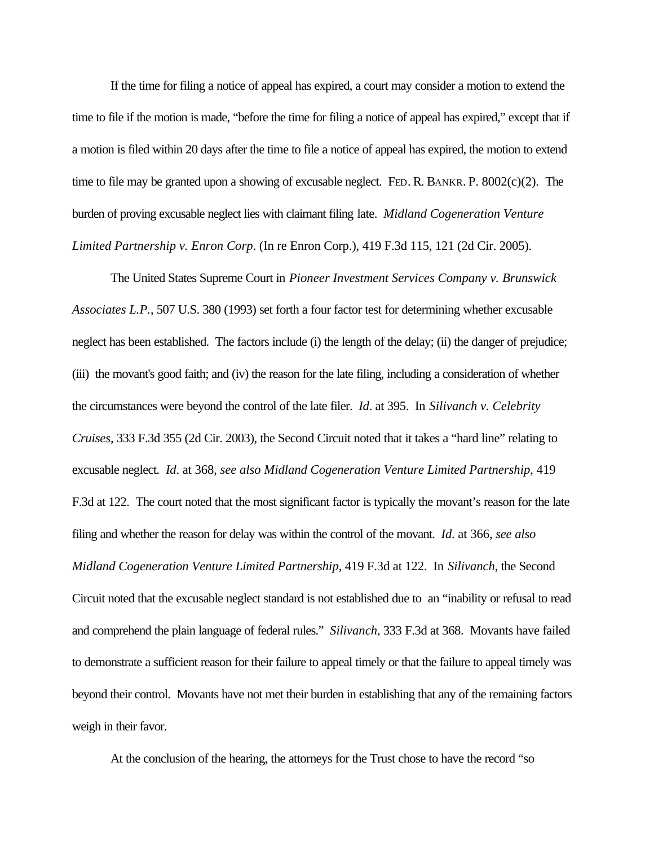If the time for filing a notice of appeal has expired, a court may consider a motion to extend the time to file if the motion is made, "before the time for filing a notice of appeal has expired," except that if a motion is filed within 20 days after the time to file a notice of appeal has expired, the motion to extend time to file may be granted upon a showing of excusable neglect. FED. R. BANKR. P. 8002(c)(2). The burden of proving excusable neglect lies with claimant filing late. *Midland Cogeneration Venture Limited Partnership v. Enron Corp*. (In re Enron Corp.), 419 F.3d 115, 121 (2d Cir. 2005).

The United States Supreme Court in *Pioneer Investment Services Company v. Brunswick Associates L.P.*, 507 U.S. 380 (1993) set forth a four factor test for determining whether excusable neglect has been established. The factors include (i) the length of the delay; (ii) the danger of prejudice; (iii) the movant's good faith; and (iv) the reason for the late filing, including a consideration of whether the circumstances were beyond the control of the late filer. *Id*. at 395. In *Silivanch v. Celebrity Cruises*, 333 F.3d 355 (2d Cir. 2003), the Second Circuit noted that it takes a "hard line" relating to excusable neglect. *Id*. at 368, *see also Midland Cogeneration Venture Limited Partnership*, 419 F.3d at 122. The court noted that the most significant factor is typically the movant's reason for the late filing and whether the reason for delay was within the control of the movant. *Id*. at 366, *see also Midland Cogeneration Venture Limited Partnership*, 419 F.3d at 122. In *Silivanch*, the Second Circuit noted that the excusable neglect standard is not established due to an "inability or refusal to read and comprehend the plain language of federal rules." *Silivanch*, 333 F.3d at 368. Movants have failed to demonstrate a sufficient reason for their failure to appeal timely or that the failure to appeal timely was beyond their control. Movants have not met their burden in establishing that any of the remaining factors weigh in their favor.

At the conclusion of the hearing, the attorneys for the Trust chose to have the record "so